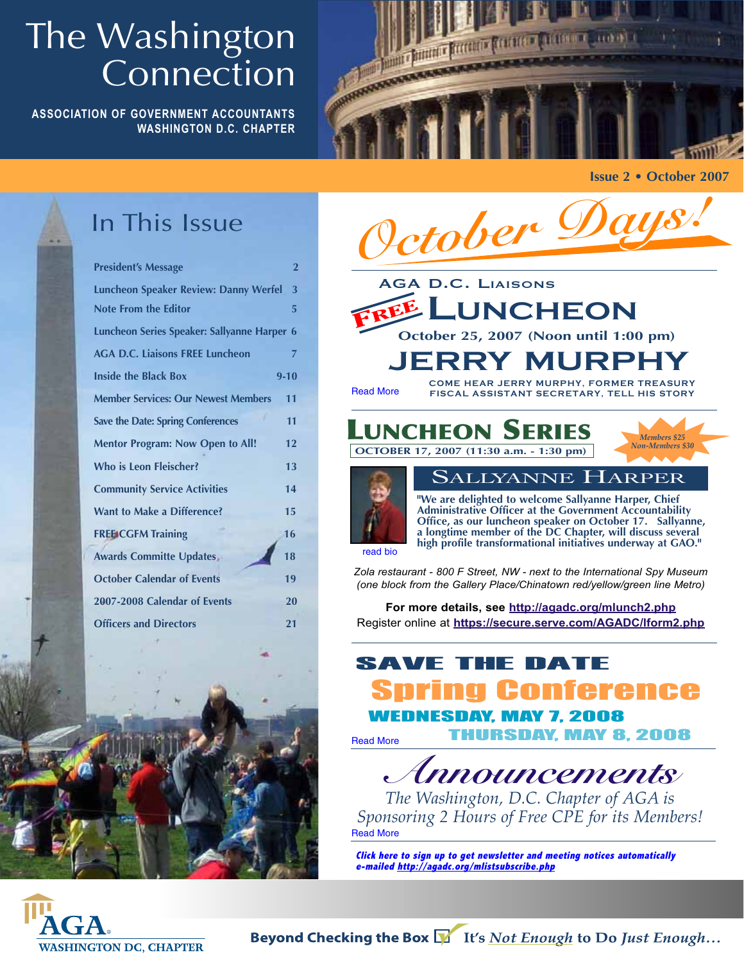## The Washington Connection

**ASSOCIATION OF GOVERNMENT ACCOUNTANTS WASHINGTON D.C. CHAPTER**



**Issue 2 • October 2007**



## In This Issue

| <b>President's Message</b>                   | $\overline{2}$ |
|----------------------------------------------|----------------|
| <b>Luncheon Speaker Review: Danny Werfel</b> | 3              |
| <b>Note From the Editor</b>                  | 5              |
| Luncheon Series Speaker: Sallyanne Harper 6  |                |
| <b>AGA D.C. Liaisons FREE Luncheon</b>       | 7              |
| <b>Inside the Black Box</b>                  | $9 - 10$       |
| <b>Member Services: Our Newest Members</b>   | 11             |
| <b>Save the Date: Spring Conferences</b>     | 11             |
| <b>Mentor Program: Now Open to All!</b>      | 12             |
| <b>Who is Leon Fleischer?</b>                | 13             |
| <b>Community Service Activities</b>          | 14             |
| <b>Want to Make a Difference?</b>            | 15             |
| <b>FREE CGFM Training</b>                    | 16             |
| <b>Awards Committe Updates</b>               | 18             |
| <b>October Calendar of Events</b>            | 19             |
| 2007-2008 Calendar of Events                 | 20             |
| <b>Officers and Directors</b>                | 21             |
|                                              |                |



**For more details, see http://agadc.org/mlunch2.php** Register online at **https://secure.serve.com/AGADC/lform2.php**

## SAVE THE DATE

g Conference

WEDNESDAY, MAY 7, 2008

THURSDAY, MAY 8, 2008 Read More

**Announcements**

*The Washington, D.C. Chapter of AGA is Sponsoring 2 Hours of Free CPE for its Members!* Read More

**Click here to sign up to get newsletter and meeting notices automatically e-mailed http://agadc.org/mlistsubscribe.php**

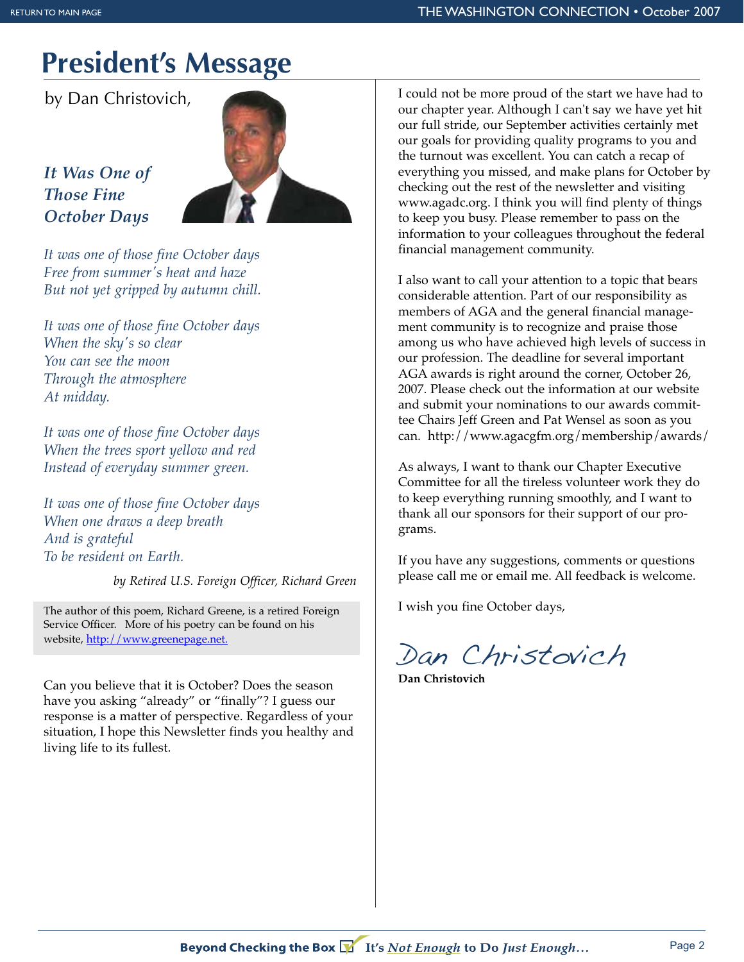## **President's Message**

by Dan Christovich,

*It Was One of Those Fine October Days*



*It was one of those fine October days Free from summer's heat and haze But not yet gripped by autumn chill.*

*It was one of those fine October days When the sky's so clear You can see the moon Through the atmosphere At midday.*

*It was one of those fine October days When the trees sport yellow and red Instead of everyday summer green.*

*It was one of those fine October days When one draws a deep breath And is grateful To be resident on Earth.*

*by Retired U.S. Foreign Officer, Richard Green*

The author of this poem, Richard Greene, is a retired Foreign Service Officer. More of his poetry can be found on his website, http://www.greenepage.net.

Can you believe that it is October? Does the season have you asking "already" or "finally"? I guess our response is a matter of perspective. Regardless of your situation, I hope this Newsletter finds you healthy and living life to its fullest.

I could not be more proud of the start we have had to our chapter year. Although I can't say we have yet hit our full stride, our September activities certainly met our goals for providing quality programs to you and the turnout was excellent. You can catch a recap of everything you missed, and make plans for October by checking out the rest of the newsletter and visiting www.agadc.org. I think you will find plenty of things to keep you busy. Please remember to pass on the information to your colleagues throughout the federal financial management community.

I also want to call your attention to a topic that bears considerable attention. Part of our responsibility as members of AGA and the general financial management community is to recognize and praise those among us who have achieved high levels of success in our profession. The deadline for several important AGA awards is right around the corner, October 26, 2007. Please check out the information at our website and submit your nominations to our awards committee Chairs Jeff Green and Pat Wensel as soon as you can. http://www.agacgfm.org/membership/awards/

As always, I want to thank our Chapter Executive Committee for all the tireless volunteer work they do to keep everything running smoothly, and I want to thank all our sponsors for their support of our programs.

If you have any suggestions, comments or questions please call me or email me. All feedback is welcome.

I wish you fine October days,

Dan Christovich

**Dan Christovich**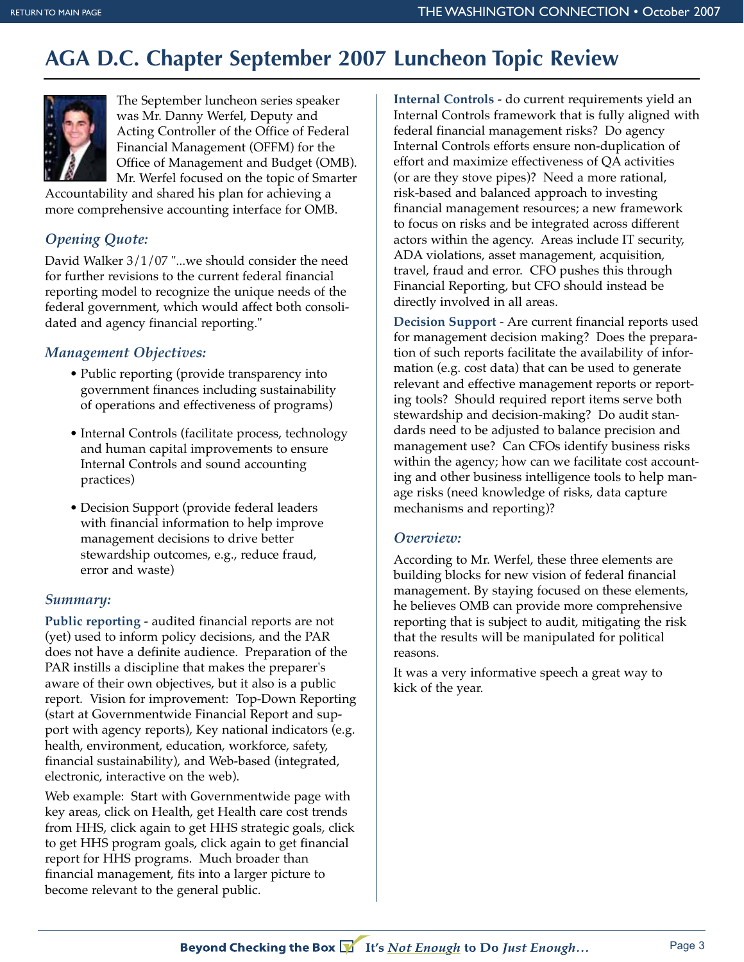## **AGA D.C. Chapter September 2007 Luncheon Topic Review**



The September luncheon series speaker was Mr. Danny Werfel, Deputy and Acting Controller of the Office of Federal Financial Management (OFFM) for the Office of Management and Budget (OMB). Mr. Werfel focused on the topic of Smarter

Accountability and shared his plan for achieving a more comprehensive accounting interface for OMB.

#### *Opening Quote:*

David Walker 3/1/07 "...we should consider the need for further revisions to the current federal financial reporting model to recognize the unique needs of the federal government, which would affect both consolidated and agency financial reporting."

#### *Management Objectives:*

- Public reporting (provide transparency into government finances including sustainability of operations and effectiveness of programs)
- Internal Controls (facilitate process, technology and human capital improvements to ensure Internal Controls and sound accounting practices)
- Decision Support (provide federal leaders with financial information to help improve management decisions to drive better stewardship outcomes, e.g., reduce fraud, error and waste)

#### *Summary:*

**Public reporting** - audited financial reports are not (yet) used to inform policy decisions, and the PAR does not have a definite audience. Preparation of the PAR instills a discipline that makes the preparer's aware of their own objectives, but it also is a public report. Vision for improvement: Top-Down Reporting (start at Governmentwide Financial Report and support with agency reports), Key national indicators (e.g. health, environment, education, workforce, safety, financial sustainability), and Web-based (integrated, electronic, interactive on the web).

Web example: Start with Governmentwide page with key areas, click on Health, get Health care cost trends from HHS, click again to get HHS strategic goals, click to get HHS program goals, click again to get financial report for HHS programs. Much broader than financial management, fits into a larger picture to become relevant to the general public.

**Internal Controls** - do current requirements yield an Internal Controls framework that is fully aligned with federal financial management risks? Do agency Internal Controls efforts ensure non-duplication of effort and maximize effectiveness of QA activities (or are they stove pipes)? Need a more rational, risk-based and balanced approach to investing financial management resources; a new framework to focus on risks and be integrated across different actors within the agency. Areas include IT security, ADA violations, asset management, acquisition, travel, fraud and error. CFO pushes this through Financial Reporting, but CFO should instead be directly involved in all areas.

**Decision Support** - Are current financial reports used for management decision making? Does the preparation of such reports facilitate the availability of information (e.g. cost data) that can be used to generate relevant and effective management reports or reporting tools? Should required report items serve both stewardship and decision-making? Do audit standards need to be adjusted to balance precision and management use? Can CFOs identify business risks within the agency; how can we facilitate cost accounting and other business intelligence tools to help manage risks (need knowledge of risks, data capture mechanisms and reporting)?

#### *Overview:*

According to Mr. Werfel, these three elements are building blocks for new vision of federal financial management. By staying focused on these elements, he believes OMB can provide more comprehensive reporting that is subject to audit, mitigating the risk that the results will be manipulated for political reasons.

It was a very informative speech a great way to kick of the year.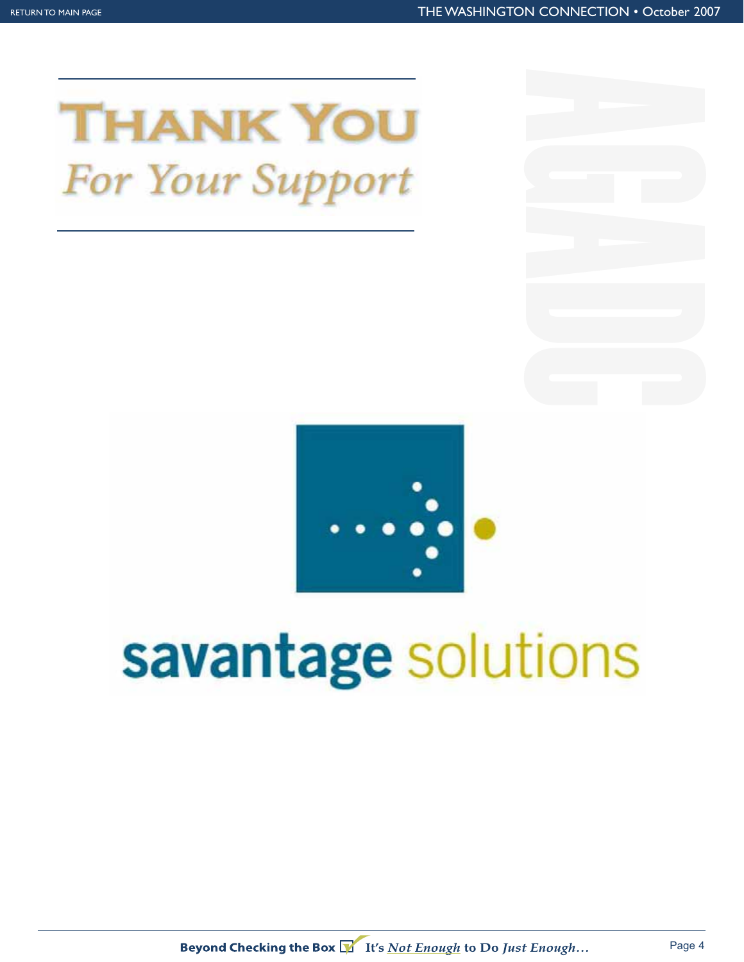



# savantage solutions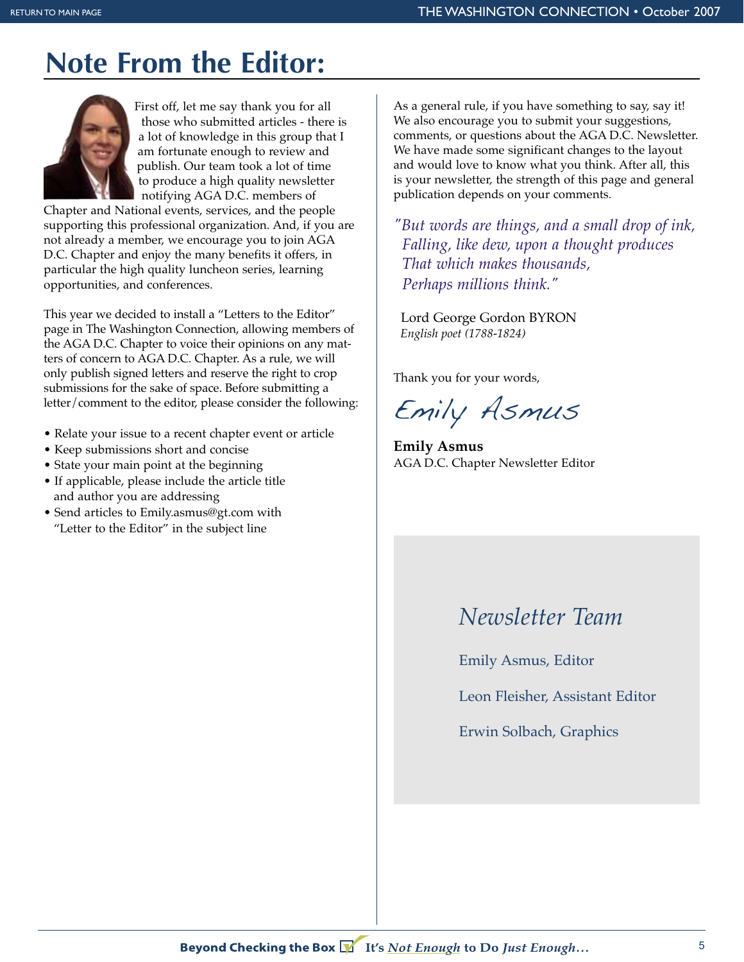## **Note From the Editor:**



First off, let me say thank you for all those who submitted articles - there is a lot of knowledge in this group that I am fortunate enough to review and publish. Our team took a lot of time to produce a high quality newsletter notifying AGA D.C. members of

Chapter and National events, services, and the people supporting this professional organization. And, if you are not already a member, we encourage you to join AGA D.C. Chapter and enjoy the many benefits it offers, in particular the high quality luncheon series, learning opportunities, and conferences.

This year we decided to install a "Letters to the Editor" page in The Washington Connection, allowing members of the AGA D.C. Chapter to voice their opinions on any matters of concern to AGA D.C. Chapter. As a rule, we will only publish signed letters and reserve the right to crop submissions for the sake of space. Before submitting a letter/comment to the editor, please consider the following:

- Relate your issue to a recent chapter event or article
- Keep submissions short and concise
- State your main point at the beginning
- If applicable, please include the article title and author you are addressing
- Send articles to Emily.asmus@gt.com with "Letter to the Editor" in the subject line

As a general rule, if you have something to say, say it! We also encourage you to submit your suggestions, comments, or questions about the AGA D.C. Newsletter. We have made some significant changes to the layout and would love to know what you think. After all, this is your newsletter, the strength of this page and general publication depends on your comments.

*"But words are things, and a small drop of ink, Falling, like dew, upon a thought produces That which makes thousands, Perhaps millions think."* 

Lord George Gordon BYRON *English poet (1788-1824)*

Thank you for your words,

Emily Asmus

**Emily Asmus** AGA D.C. Chapter Newsletter Editor

### *Newsletter Team*

Emily Asmus, Editor

Leon Fleisher, Assistant Editor

Erwin Solbach, Graphics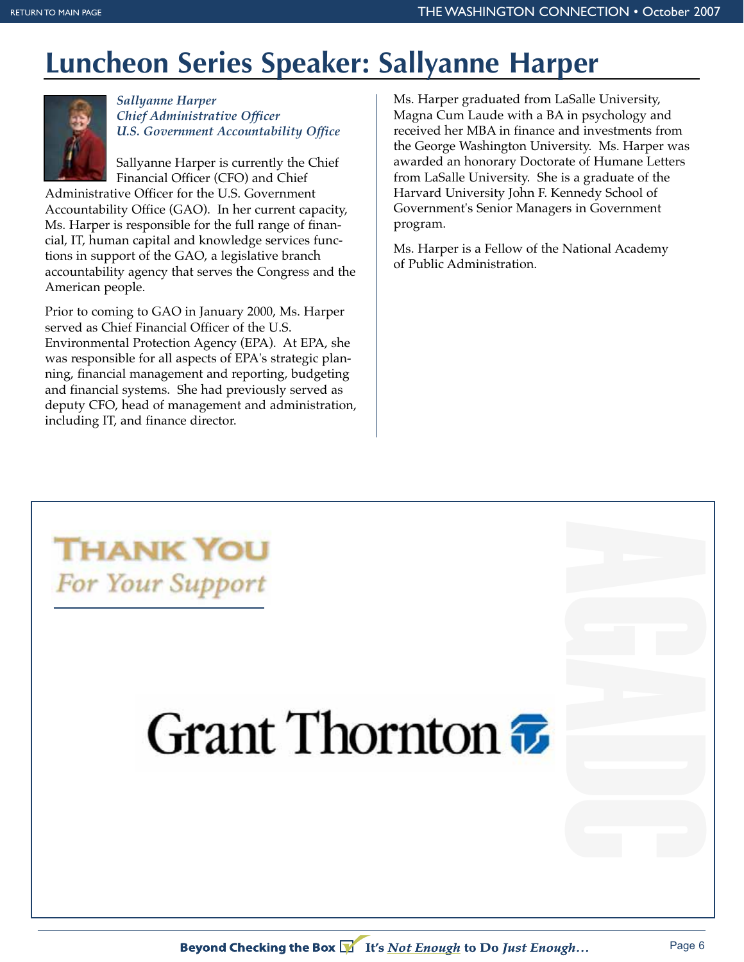## **Luncheon Series Speaker: Sallyanne Harper**



*Sallyanne Harper Chief Administrative Officer U.S. Government Accountability Office*

Sallyanne Harper is currently the Chief Financial Officer (CFO) and Chief

Administrative Officer for the U.S. Government Accountability Office (GAO). In her current capacity, Ms. Harper is responsible for the full range of financial, IT, human capital and knowledge services functions in support of the GAO, a legislative branch accountability agency that serves the Congress and the American people.

Prior to coming to GAO in January 2000, Ms. Harper served as Chief Financial Officer of the U.S. Environmental Protection Agency (EPA). At EPA, she was responsible for all aspects of EPA's strategic planning, financial management and reporting, budgeting and financial systems. She had previously served as deputy CFO, head of management and administration, including IT, and finance director.

Ms. Harper graduated from LaSalle University, Magna Cum Laude with a BA in psychology and received her MBA in finance and investments from the George Washington University. Ms. Harper was awarded an honorary Doctorate of Humane Letters from LaSalle University. She is a graduate of the Harvard University John F. Kennedy School of Government's Senior Managers in Government program.

Ms. Harper is a Fellow of the National Academy of Public Administration.



# Grant Thornton  $\bar{x}$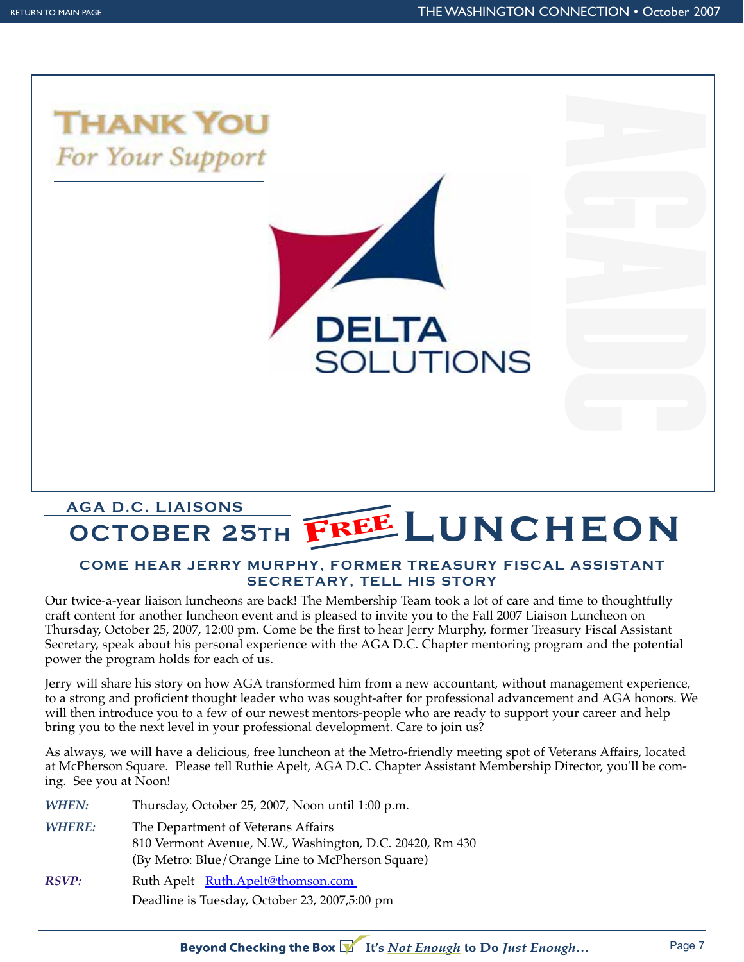

**COCTOBER 25TH FREE**<br>
COME HEAR JERRY MURPHY, FORMED<br>
SECRETARY, TEL<br>
twice-a-year liaison luncheons are back! The Membership<br>
t content for another luncheon event and is pleased to inv<br>
strong, October 25, 2007, 12:00 pm. **COME HEAR JERRY MURF**<br> **SECR**<br>
twice-a-year liaison luncheons are back<br>
content for another luncheon event an<br>
rsday, October 25, 2007, 12:00 pm. Com<br>
etary, speak about his personal experier<br>
er the program holds for eac **TREASURY FISCAL ASSISTANT**<br> **HIS STORY**<br>
Feam took a lot of care and time to thoughtfully<br>
you to the Fall 2007 Liaison Luncheon on<br>
Jerry Murphy, former Treasury Fiscal Assistant<br>
C. Chapter mentoring program and the pot **SECRETARY, TELL HIS STORY**<br>**COMENO ASSEM SECRETARY, TELL HIS STORY**<br>
Write-a-year liaison luncheons are back! The Membership Team took a lot of care and time to thoughtfully<br>
ontent for another luncheon event and is pleas **SECREMARY FULLER THE STORY AND SET AND SET AND SERVID THE STORY AND THE STORY MUTPHY, for experience with the AGA D.C. Chapter men of us.**<br> **SA transformed him from a new accountant,** each start who was sought-after for p Our twice-a-year liaison luncheons are back! The Membership Team took a lot of care and time to thoughtfully craft content for another luncheon event and is pleased to invite you to the Fall 2007 Liaison Luncheon on Thursday, October 25, 2007, 12:00 pm. Come be the first to hear Jerry Murphy, former Treasury Fiscal Assistant Secretary, speak about his personal experience with the AGA D.C. Chapter mentoring program and the potential power the program holds for each of us.

Jerry will share his story on how AGA transformed him from a new accountant, without management experience, to a strong and proficient thought leader who was sought-after for professional advancement and AGA honors. We will then introduce you to a few of our newest mentors-people who are ready to support your career and help bring you to the next level in your professional development. Care to join us?

As always, we will have a delicious, free luncheon at the Metro-friendly meeting spot of Veterans Affairs, located at McPherson Square. Please tell Ruthie Apelt, AGA D.C. Chapter Assistant Membership Director, you'll be coming. See you at Noon!

| WHEN:         | Thursday, October 25, 2007, Noon until 1:00 p.m.                                                                                                   |
|---------------|----------------------------------------------------------------------------------------------------------------------------------------------------|
| <b>WHERE:</b> | The Department of Veterans Affairs<br>810 Vermont Avenue, N.W., Washington, D.C. 20420, Rm 430<br>(By Metro: Blue/Orange Line to McPherson Square) |
| RSVP:         | Ruth Apelt Ruth.Apelt@thomson.com<br>Deadline is Tuesday, October 23, 2007,5:00 pm                                                                 |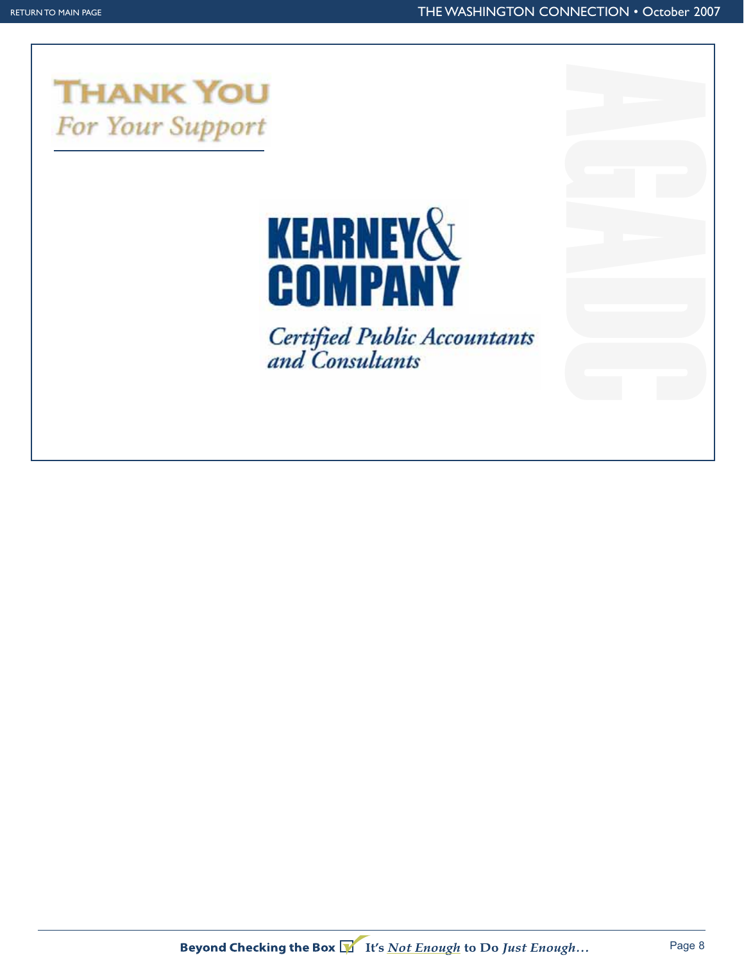

# **KEARNEY&<br>COMPANY**

Certified Public Accountants<br>and Consultants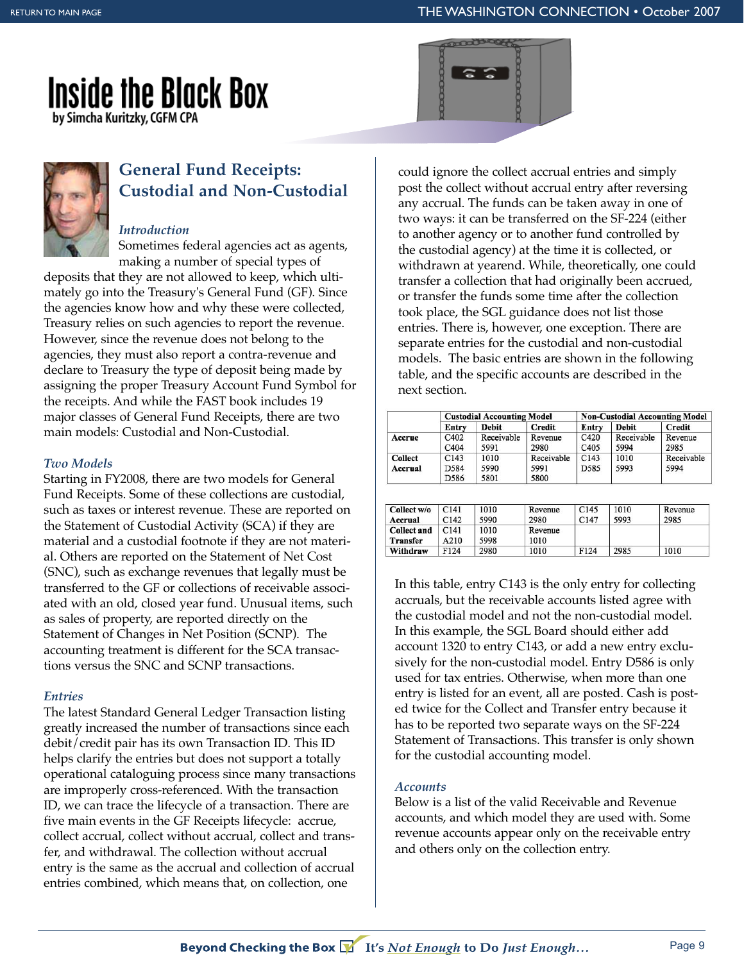## **Inside the Black Box** by Simcha Kuritzky, CGFM CPA



#### **General Fund Receipts: Custodial and Non-Custodial**

#### *Introduction*

Sometimes federal agencies act as agents, making a number of special types of

deposits that they are not allowed to keep, which ultimately go into the Treasury's General Fund (GF). Since the agencies know how and why these were collected, Treasury relies on such agencies to report the revenue. However, since the revenue does not belong to the agencies, they must also report a contra-revenue and declare to Treasury the type of deposit being made by assigning the proper Treasury Account Fund Symbol for the receipts. And while the FAST book includes 19 major classes of General Fund Receipts, there are two main models: Custodial and Non-Custodial.

#### *Two Models*

Starting in FY2008, there are two models for General Fund Receipts. Some of these collections are custodial, such as taxes or interest revenue. These are reported on the Statement of Custodial Activity (SCA) if they are material and a custodial footnote if they are not material. Others are reported on the Statement of Net Cost (SNC), such as exchange revenues that legally must be transferred to the GF or collections of receivable associated with an old, closed year fund. Unusual items, such as sales of property, are reported directly on the Statement of Changes in Net Position (SCNP). The accounting treatment is different for the SCA transactions versus the SNC and SCNP transactions.

#### *Entries*

The latest Standard General Ledger Transaction listing greatly increased the number of transactions since each debit/credit pair has its own Transaction ID. This ID helps clarify the entries but does not support a totally operational cataloguing process since many transactions are improperly cross-referenced. With the transaction ID, we can trace the lifecycle of a transaction. There are five main events in the GF Receipts lifecycle: accrue, collect accrual, collect without accrual, collect and transfer, and withdrawal. The collection without accrual entry is the same as the accrual and collection of accrual entries combined, which means that, on collection, one

could ignore the collect accrual entries and simply post the collect without accrual entry after reversing any accrual. The funds can be taken away in one of two ways: it can be transferred on the SF-224 (either to another agency or to another fund controlled by the custodial agency) at the time it is collected, or withdrawn at yearend. While, theoretically, one could transfer a collection that had originally been accrued, or transfer the funds some time after the collection took place, the SGL guidance does not list those entries. There is, however, one exception. There are separate entries for the custodial and non-custodial models. The basic entries are shown in the following table, and the specific accounts are described in the next section.

| <b>Credit</b><br>Revenue |
|--------------------------|
|                          |
|                          |
| 2985                     |
| Receivable               |
| 5994                     |
|                          |
|                          |

| Collect w/o     | C141 | 1010 | Revenue | C <sub>145</sub> | 1010 | Revenue |
|-----------------|------|------|---------|------------------|------|---------|
| Accrual         | C142 | 5990 | 2980    | C <sub>147</sub> | 5993 | 2985    |
| Collect and     | C141 | 1010 | Revenue |                  |      |         |
| <b>Transfer</b> | A210 | 5998 | 1010    |                  |      |         |
| Withdraw        | F124 | 2980 | 1010    | F124             | 2985 | 1010    |

In this table, entry C143 is the only entry for collecting accruals, but the receivable accounts listed agree with the custodial model and not the non-custodial model. In this example, the SGL Board should either add account 1320 to entry C143, or add a new entry exclusively for the non-custodial model. Entry D586 is only used for tax entries. Otherwise, when more than one entry is listed for an event, all are posted. Cash is posted twice for the Collect and Transfer entry because it has to be reported two separate ways on the SF-224 Statement of Transactions. This transfer is only shown for the custodial accounting model.

#### *Accounts*

Below is a list of the valid Receivable and Revenue accounts, and which model they are used with. Some revenue accounts appear only on the receivable entry and others only on the collection entry.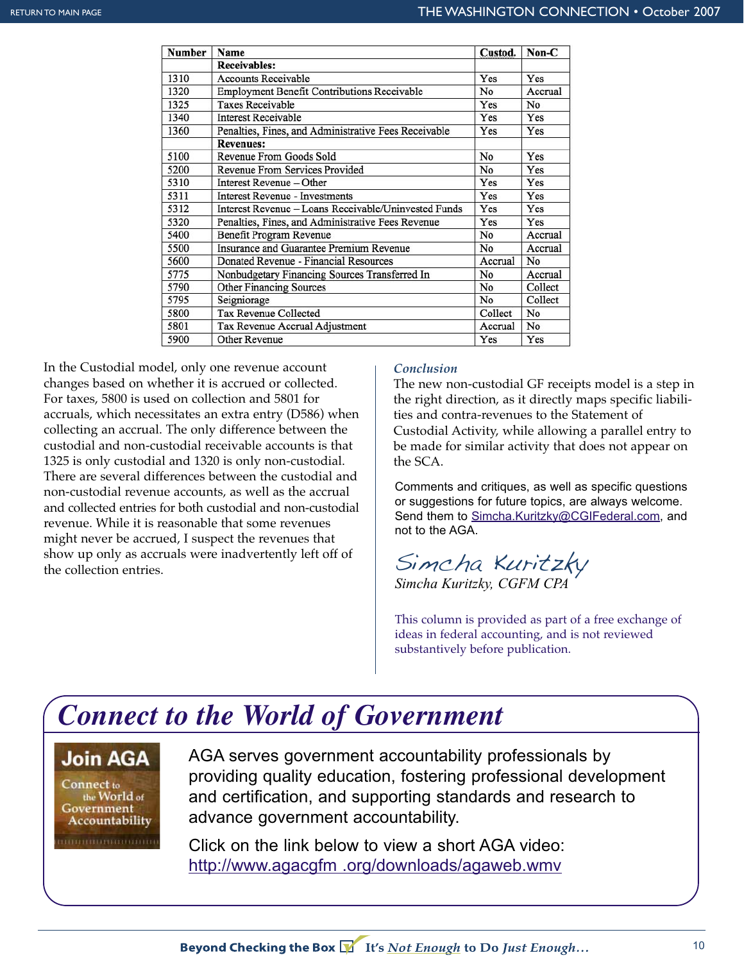| <b>Number</b> | Name                                                 | Custod. | Non-C          |
|---------------|------------------------------------------------------|---------|----------------|
|               | <b>Receivables:</b>                                  |         |                |
| 1310          | <b>Accounts Receivable</b>                           | Yes     | Yes            |
| 1320          | Employment Benefit Contributions Receivable          | No      | Accrual        |
| 1325          | Taxes Receivable                                     | Yes     | N <sub>0</sub> |
| 1340          | <b>Interest Receivable</b>                           | Yes     | Yes            |
| 1360          | Penalties, Fines, and Administrative Fees Receivable | Yes     | Yes            |
|               | <b>Revenues:</b>                                     |         |                |
| 5100          | Revenue From Goods Sold                              | No      | Yes            |
| 5200          | Revenue From Services Provided                       | No      | Yes            |
| 5310          | Interest Revenue – Other                             | Yes     | Yes            |
| 5311          | <b>Interest Revenue - Investments</b>                | Yes     | Yes            |
| 5312          | Interest Revenue - Loans Receivable/Uninvested Funds | Yes     | Yes            |
| 5320          | Penalties, Fines, and Administrative Fees Revenue    | Yes     | Yes            |
| 5400          | Benefit Program Revenue                              | No      | Accrual        |
| 5500          | Insurance and Guarantee Premium Revenue              | No      | Accrual        |
| 5600          | Donated Revenue - Financial Resources                | Accrual | No             |
| 5775          | Nonbudgetary Financing Sources Transferred In        | No      | Accrual        |
| 5790          | <b>Other Financing Sources</b>                       | No      | Collect        |
| 5795          | Seigniorage                                          | No      | Collect        |
| 5800          | <b>Tax Revenue Collected</b>                         | Collect | No             |
| 5801          | Tax Revenue Accrual Adjustment                       | Accrual | No             |
| 5900          | Other Revenue                                        | Yes     | Yes            |

In the Custodial model, only one revenue account changes based on whether it is accrued or collected. For taxes, 5800 is used on collection and 5801 for accruals, which necessitates an extra entry (D586) when collecting an accrual. The only difference between the custodial and non-custodial receivable accounts is that 1325 is only custodial and 1320 is only non-custodial. There are several differences between the custodial and non-custodial revenue accounts, as well as the accrual and collected entries for both custodial and non-custodial revenue. While it is reasonable that some revenues might never be accrued, I suspect the revenues that show up only as accruals were inadvertently left off of the collection entries.

#### *Conclusion*

The new non-custodial GF receipts model is a step in the right direction, as it directly maps specific liabilities and contra-revenues to the Statement of Custodial Activity, while allowing a parallel entry to be made for similar activity that does not appear on the SCA.

Comments and critiques, as well as specific questions or suggestions for future topics, are always welcome. Send them to Simcha.Kuritzky@CGIFederal.com, and not to the AGA.

Simcha Kuritzky

*Simcha Kuritzky, CGFM CPA*

This column is provided as part of a free exchange of ideas in federal accounting, and is not reviewed substantively before publication.

## *Connect to the World of Government*

**Join AGA** Connect to the World of Government Accountability

AGA serves government accountability professionals by providing quality education, fostering professional development and certification, and supporting standards and research to advance government accountability.

Click on the link below to view a short AGA video: http://www.agacgfm .org/downloads/agaweb.wmv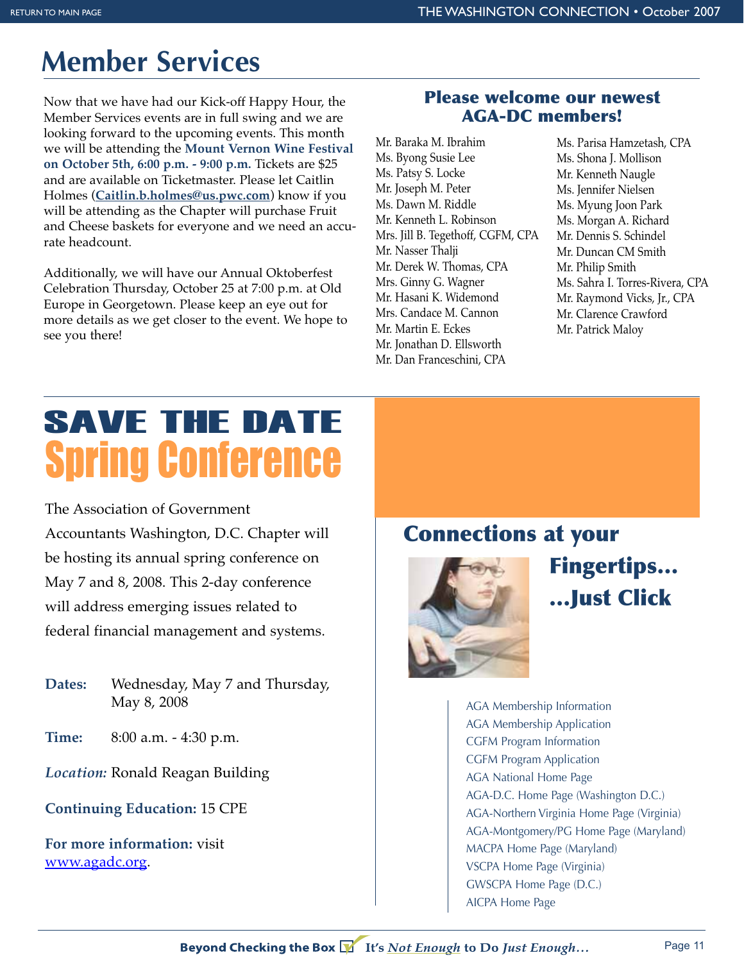## **Member Services**

Now that we have had our Kick-off Happy Hour, the Member Services events are in full swing and we are looking forward to the upcoming events. This month we will be attending the **Mount Vernon Wine Festival on October 5th, 6:00 p.m. - 9:00 p.m.** Tickets are \$25 and are available on Ticketmaster. Please let Caitlin Holmes (**Caitlin.b.holmes@us.pwc.com**) know if you will be attending as the Chapter will purchase Fruit and Cheese baskets for everyone and we need an accurate headcount.

Additionally, we will have our Annual Oktoberfest Celebration Thursday, October 25 at 7:00 p.m. at Old Europe in Georgetown. Please keep an eye out for more details as we get closer to the event. We hope to see you there!

#### **Please welcome our newest AGA-DC members!**

Mr. Baraka M. Ibrahim Ms. Byong Susie Lee Ms. Patsy S. Locke Mr. Joseph M. Peter Ms. Dawn M. Riddle Mr. Kenneth L. Robinson Mrs. Jill B. Tegethoff, CGFM, CPA Mr. Nasser Thalji Mr. Derek W. Thomas, CPA Mrs. Ginny G. Wagner Mr. Hasani K. Widemond Mrs. Candace M. Cannon Mr. Martin E. Eckes Mr. Jonathan D. Ellsworth Mr. Dan Franceschini, CPA

Ms. Parisa Hamzetash, CPA Ms. Shona J. Mollison Mr. Kenneth Naugle Ms. Jennifer Nielsen Ms. Myung Joon Park Ms. Morgan A. Richard Mr. Dennis S. Schindel Mr. Duncan CM Smith Mr. Philip Smith Ms. Sahra I. Torres-Rivera, CPA Mr. Raymond Vicks, Jr., CPA Mr. Clarence Crawford Mr. Patrick Maloy

## Spring Conference SAVE THE DATE

The Association of Government Accountants Washington, D.C. Chapter will be hosting its annual spring conference on May 7 and 8, 2008. This 2-day conference will address emerging issues related to federal financial management and systems.

- **Dates:** Wednesday, May 7 and Thursday, May 8, 2008
- **Time:** 8:00 a.m. 4:30 p.m.

*Location:* Ronald Reagan Building

**Continuing Education:** 15 CPE

**For more information:** visit www.agadc.org.

## **Connections at your**



**Fingertips… …Just Click**

AGA Membership Information AGA Membership Application CGFM Program Information CGFM Program Application AGA National Home Page AGA-D.C. Home Page (Washington D.C.) AGA-Northern Virginia Home Page (Virginia) AGA-Montgomery/PG Home Page (Maryland) MACPA Home Page (Maryland) VSCPA Home Page (Virginia) GWSCPA Home Page (D.C.) AICPA Home Page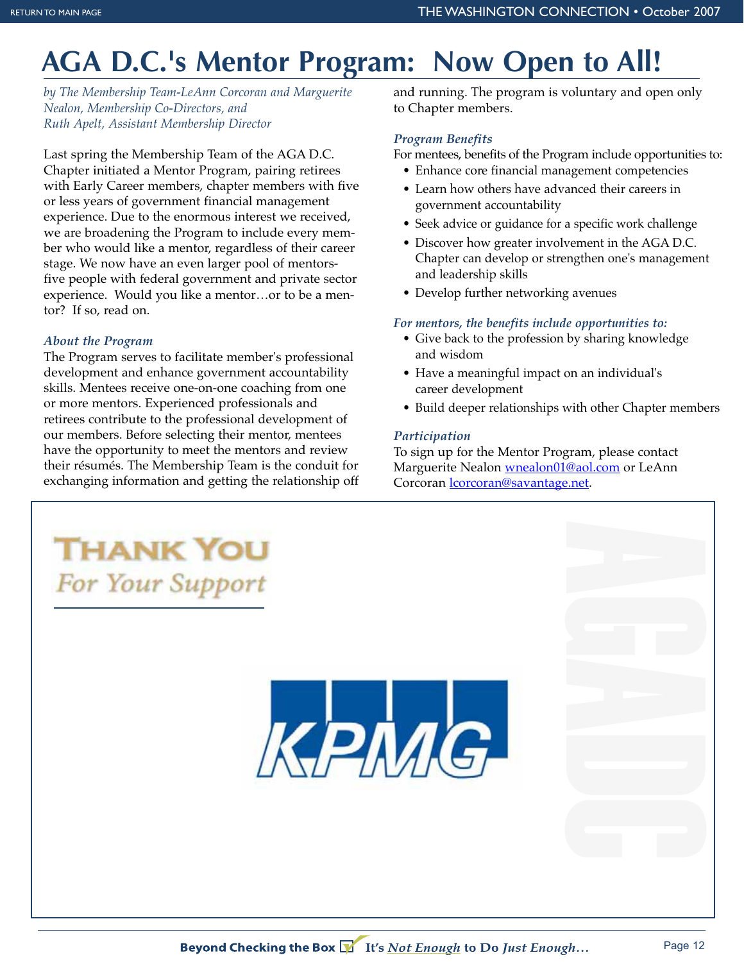## **AGA D.C.'s Mentor Program: Now Open to All!**

*by The Membership Team-LeAnn Corcoran and Marguerite Nealon, Membership Co-Directors, and Ruth Apelt, Assistant Membership Director*

Last spring the Membership Team of the AGA D.C. Chapter initiated a Mentor Program, pairing retirees with Early Career members, chapter members with five or less years of government financial management experience. Due to the enormous interest we received, we are broadening the Program to include every member who would like a mentor, regardless of their career stage. We now have an even larger pool of mentorsfive people with federal government and private sector experience. Would you like a mentor…or to be a mentor? If so, read on.

#### *About the Program*

The Program serves to facilitate member's professional development and enhance government accountability skills. Mentees receive one-on-one coaching from one or more mentors. Experienced professionals and retirees contribute to the professional development of our members. Before selecting their mentor, mentees have the opportunity to meet the mentors and review their résumés. The Membership Team is the conduit for exchanging information and getting the relationship off and running. The program is voluntary and open only to Chapter members.

#### *Program Benefits*

For mentees, benefits of the Program include opportunities to:

- Enhance core financial management competencies
- Learn how others have advanced their careers in government accountability
- Seek advice or guidance for a specific work challenge
- Discover how greater involvement in the AGA D.C. Chapter can develop or strengthen one's management and leadership skills
- Develop further networking avenues

#### *For mentors, the benefits include opportunities to:*

- Give back to the profession by sharing knowledge and wisdom
- Have a meaningful impact on an individual's career development
- Build deeper relationships with other Chapter members

#### *Participation*

To sign up for the Mentor Program, please contact Marguerite Nealon <u>wnealon01@aol.com</u> or LeAnn Corcoran *corcoran@savantage.net.* 

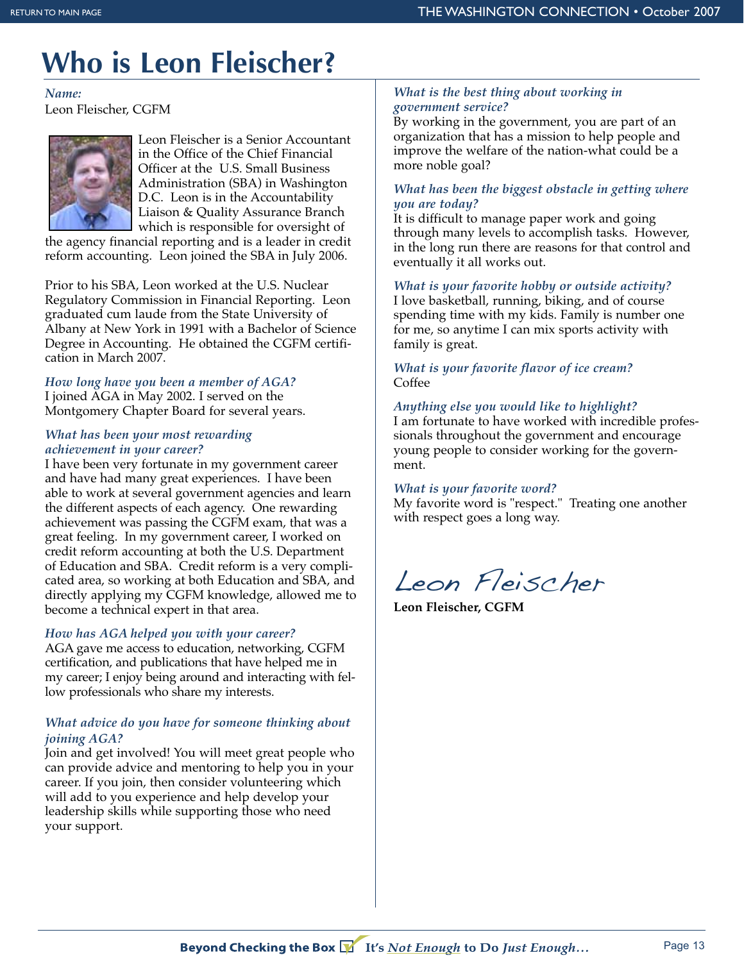## **Who is Leon Fleischer?**

*Name:* Leon Fleischer, CGFM



Leon Fleischer is a Senior Accountant in the Office of the Chief Financial Officer at the U.S. Small Business Administration (SBA) in Washington D.C. Leon is in the Accountability Liaison & Quality Assurance Branch which is responsible for oversight of

the agency financial reporting and is a leader in credit reform accounting. Leon joined the SBA in July 2006.

Prior to his SBA, Leon worked at the U.S. Nuclear Regulatory Commission in Financial Reporting. Leon graduated cum laude from the State University of Albany at New York in 1991 with a Bachelor of Science Degree in Accounting. He obtained the CGFM certification in March 2007.

*How long have you been a member of AGA?*  I joined AGA in May 2002. I served on the Montgomery Chapter Board for several years.

#### *What has been your most rewarding achievement in your career?*

I have been very fortunate in my government career and have had many great experiences. I have been able to work at several government agencies and learn the different aspects of each agency. One rewarding achievement was passing the CGFM exam, that was a great feeling. In my government career, I worked on credit reform accounting at both the U.S. Department of Education and SBA. Credit reform is a very complicated area, so working at both Education and SBA, and directly applying my CGFM knowledge, allowed me to become a technical expert in that area.

#### *How has AGA helped you with your career?*

AGA gave me access to education, networking, CGFM certification, and publications that have helped me in my career; I enjoy being around and interacting with fellow professionals who share my interests.

#### *What advice do you have for someone thinking about joining AGA?*

Join and get involved! You will meet great people who can provide advice and mentoring to help you in your career. If you join, then consider volunteering which will add to you experience and help develop your leadership skills while supporting those who need your support.

#### *What is the best thing about working in government service?*

By working in the government, you are part of an organization that has a mission to help people and improve the welfare of the nation-what could be a more noble goal?

#### *What has been the biggest obstacle in getting where you are today?*

It is difficult to manage paper work and going through many levels to accomplish tasks. However, in the long run there are reasons for that control and eventually it all works out.

*What is your favorite hobby or outside activity?*

I love basketball, running, biking, and of course spending time with my kids. Family is number one for me, so anytime I can mix sports activity with family is great.

#### *What is your favorite flavor of ice cream?* Coffee

#### *Anything else you would like to highlight?*

I am fortunate to have worked with incredible professionals throughout the government and encourage young people to consider working for the government.

#### *What is your favorite word?*

My favorite word is "respect." Treating one another with respect goes a long way.

Leon Fleischer

**Leon Fleischer, CGFM**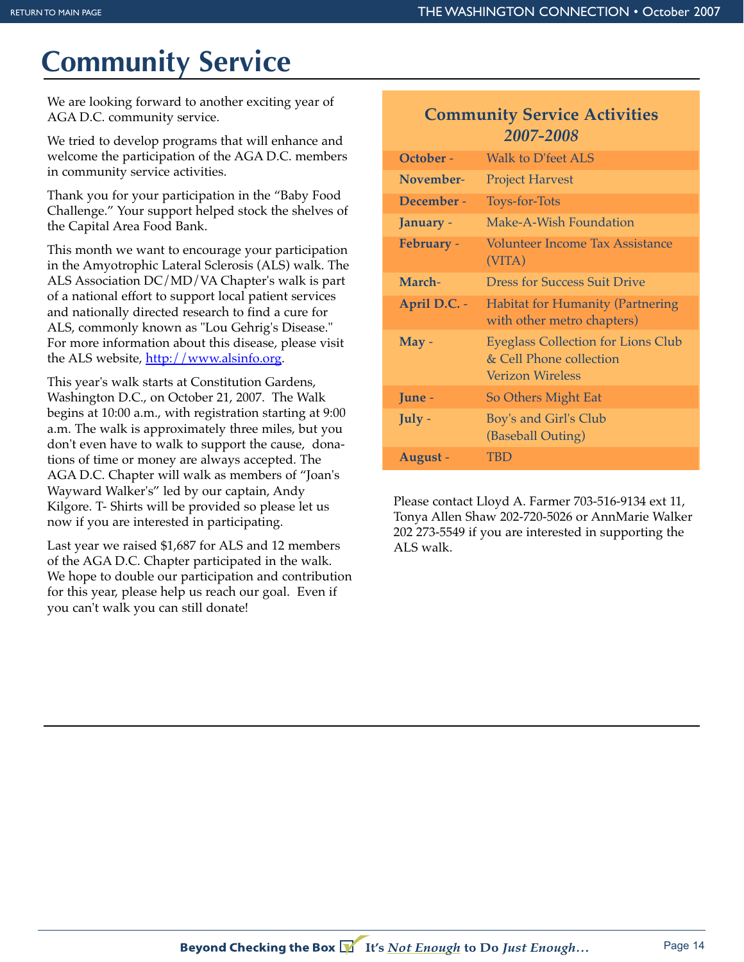## **Community Service**

We are looking forward to another exciting year of AGA D.C. community service.

We tried to develop programs that will enhance and welcome the participation of the AGA D.C. members in community service activities.

Thank you for your participation in the "Baby Food Challenge." Your support helped stock the shelves of the Capital Area Food Bank.

This month we want to encourage your participation in the Amyotrophic Lateral Sclerosis (ALS) walk. The ALS Association DC/MD/VA Chapter's walk is part of a national effort to support local patient services and nationally directed research to find a cure for ALS, commonly known as "Lou Gehrig's Disease." For more information about this disease, please visit the ALS website, http://www.alsinfo.org.

This year's walk starts at Constitution Gardens, Washington D.C., on October 21, 2007. The Walk begins at 10:00 a.m., with registration starting at 9:00 a.m. The walk is approximately three miles, but you don't even have to walk to support the cause, donations of time or money are always accepted. The AGA D.C. Chapter will walk as members of "Joan's Wayward Walker's" led by our captain, Andy Kilgore. T- Shirts will be provided so please let us now if you are interested in participating.

Last year we raised \$1,687 for ALS and 12 members of the AGA D.C. Chapter participated in the walk. We hope to double our participation and contribution for this year, please help us reach our goal. Even if you can't walk you can still donate!

#### **Community Service Activities**  *2007-2008*

| October -         | <b>Walk to D'feet ALS</b>                                                                |
|-------------------|------------------------------------------------------------------------------------------|
| November-         | <b>Project Harvest</b>                                                                   |
| December -        | <b>Toys-for-Tots</b>                                                                     |
| January -         | Make-A-Wish Foundation                                                                   |
| <b>February -</b> | Volunteer Income Tax Assistance<br>(VITA)                                                |
| March-            | <b>Dress for Success Suit Drive</b>                                                      |
| April D.C. -      | <b>Habitat for Humanity (Partnering</b><br>with other metro chapters)                    |
| $May -$           | <b>Eyeglass Collection for Lions Club</b><br>& Cell Phone collection<br>Verizon Wireless |
| June -            | So Others Might Eat                                                                      |
| July -            | Boy's and Girl's Club<br>(Baseball Outing)                                               |
| August -          | TBD                                                                                      |

Please contact Lloyd A. Farmer 703-516-9134 ext 11, Tonya Allen Shaw 202-720-5026 or AnnMarie Walker 202 273-5549 if you are interested in supporting the ALS walk.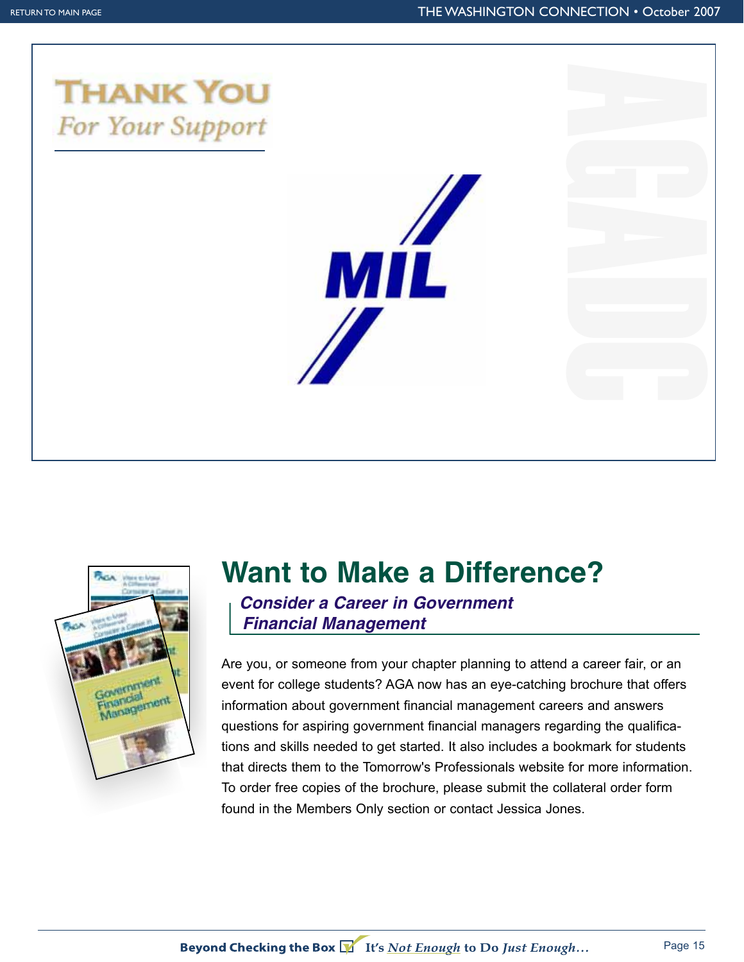





## **Want to Make a Difference?**

*Consider a Career in Government Financial Management*

Are you, or someone from your chapter planning to attend a career fair, or an event for college students? AGA now has an eye-catching brochure that offers information about government financial management careers and answers questions for aspiring government financial managers regarding the qualifications and skills needed to get started. It also includes a bookmark for students that directs them to the Tomorrow's Professionals website for more information. To order free copies of the brochure, please submit the collateral order form found in the Members Only section or contact Jessica Jones.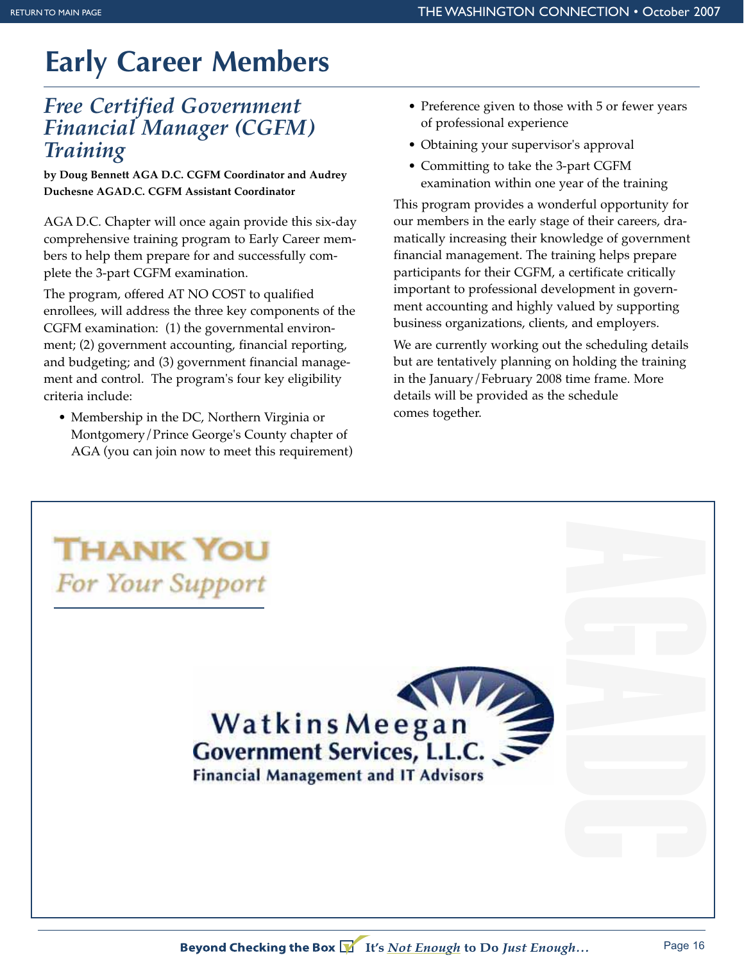## **Early Career Members**

#### *Free Certified Government Financial Manager (CGFM) Training*

**by Doug Bennett AGA D.C. CGFM Coordinator and Audrey Duchesne AGAD.C. CGFM Assistant Coordinator**

AGA D.C. Chapter will once again provide this six-day comprehensive training program to Early Career members to help them prepare for and successfully complete the 3-part CGFM examination.

The program, offered AT NO COST to qualified enrollees, will address the three key components of the CGFM examination: (1) the governmental environment; (2) government accounting, financial reporting, and budgeting; and (3) government financial management and control. The program's four key eligibility criteria include:

• Membership in the DC, Northern Virginia or Montgomery/Prince George's County chapter of AGA (you can join now to meet this requirement)

- Preference given to those with 5 or fewer years of professional experience
- Obtaining your supervisor's approval
- Committing to take the 3-part CGFM examination within one year of the training

This program provides a wonderful opportunity for our members in the early stage of their careers, dramatically increasing their knowledge of government financial management. The training helps prepare participants for their CGFM, a certificate critically important to professional development in government accounting and highly valued by supporting business organizations, clients, and employers.

We are currently working out the scheduling details but are tentatively planning on holding the training in the January/February 2008 time frame. More details will be provided as the schedule comes together.

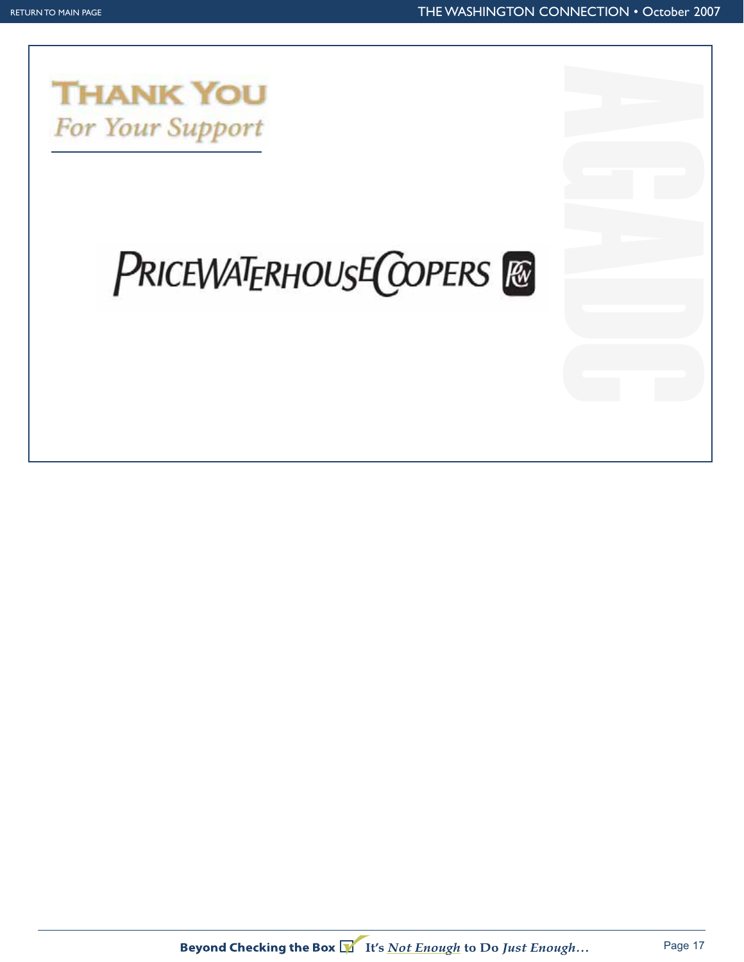

## **PRICEWATERHOUSE COPERS**

Beyond Checking the Box VII's Not Enough to Do Just Enough...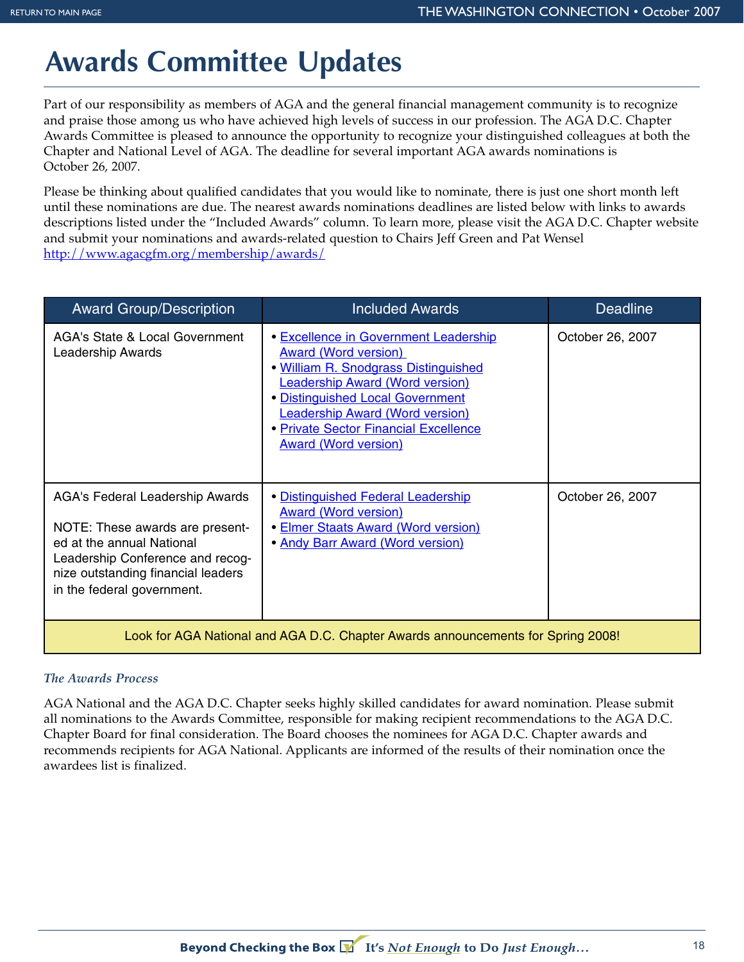## **Awards Committee Updates**

Part of our responsibility as members of AGA and the general financial management community is to recognize and praise those among us who have achieved high levels of success in our profession. The AGA D.C. Chapter Awards Committee is pleased to announce the opportunity to recognize your distinguished colleagues at both the Chapter and National Level of AGA. The deadline for several important AGA awards nominations is October 26, 2007.

Please be thinking about qualified candidates that you would like to nominate, there is just one short month left until these nominations are due. The nearest awards nominations deadlines are listed below with links to awards descriptions listed under the "Included Awards" column. To learn more, please visit the AGA D.C. Chapter website and submit your nominations and awards-related question to Chairs Jeff Green and Pat Wensel http://www.agacgfm.org/membership/awards/

| <b>Award Group/Description</b>                                                                                                                                                                          | <b>Included Awards</b>                                                                                                                                                                                                                                                                                              | <b>Deadline</b>  |  |  |  |  |
|---------------------------------------------------------------------------------------------------------------------------------------------------------------------------------------------------------|---------------------------------------------------------------------------------------------------------------------------------------------------------------------------------------------------------------------------------------------------------------------------------------------------------------------|------------------|--|--|--|--|
| <b>AGA's State &amp; Local Government</b><br>Leadership Awards                                                                                                                                          | <b>• Excellence in Government Leadership</b><br><b>Award (Word version)</b><br>. William R. Snodgrass Distinguished<br><b>Leadership Award (Word version)</b><br>· Distinguished Local Government<br><b>Leadership Award (Word version)</b><br>• Private Sector Financial Excellence<br><b>Award (Word version)</b> | October 26, 2007 |  |  |  |  |
| AGA's Federal Leadership Awards<br>NOTE: These awards are present-<br>ed at the annual National<br>Leadership Conference and recog-<br>nize outstanding financial leaders<br>in the federal government. | • Distinguished Federal Leadership<br><b>Award (Word version)</b><br><b>• Elmer Staats Award (Word version)</b><br>. Andy Barr Award (Word version)                                                                                                                                                                 | October 26, 2007 |  |  |  |  |
| Look for AGA National and AGA D.C. Chapter Awards announcements for Spring 2008!                                                                                                                        |                                                                                                                                                                                                                                                                                                                     |                  |  |  |  |  |

#### *The Awards Process*

AGA National and the AGA D.C. Chapter seeks highly skilled candidates for award nomination. Please submit all nominations to the Awards Committee, responsible for making recipient recommendations to the AGA D.C. Chapter Board for final consideration. The Board chooses the nominees for AGA D.C. Chapter awards and recommends recipients for AGA National. Applicants are informed of the results of their nomination once the awardees list is finalized.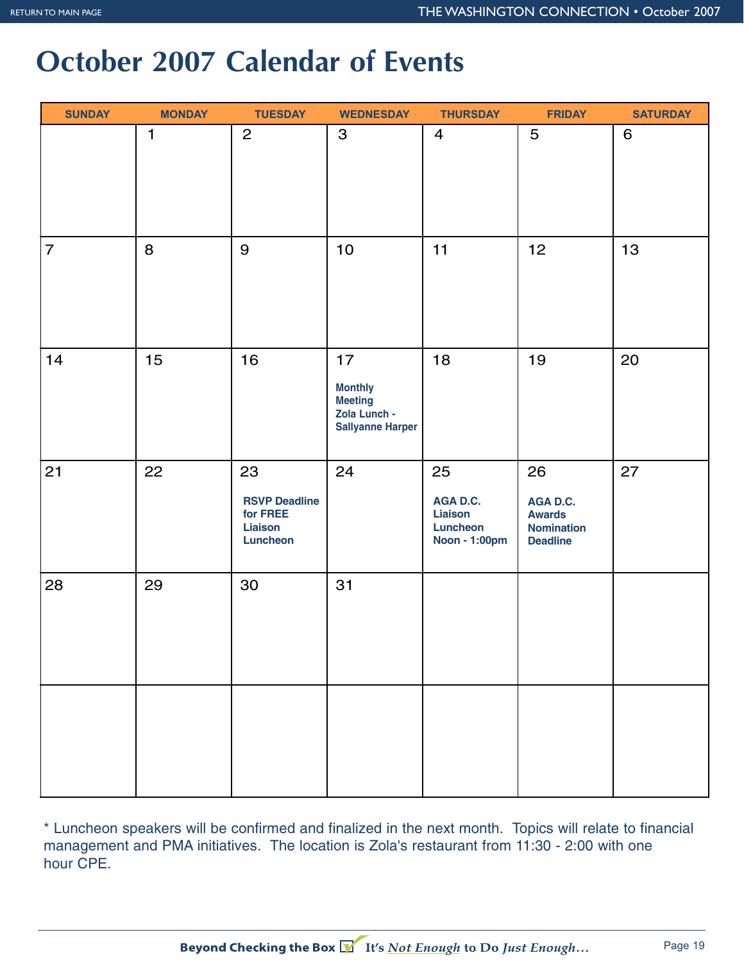## **October 2007 Calendar of Events**

| <b>SUNDAY</b>  | <b>MONDAY</b> | <b>TUESDAY</b>                                                | <b>WEDNESDAY</b>                                                                  | <b>THURSDAY</b>                                               | <b>FRIDAY</b>                                                           | <b>SATURDAY</b> |
|----------------|---------------|---------------------------------------------------------------|-----------------------------------------------------------------------------------|---------------------------------------------------------------|-------------------------------------------------------------------------|-----------------|
|                | 1             | $\overline{c}$                                                | $\mathbf{3}$                                                                      | 4                                                             | 5                                                                       | 6               |
| $\overline{7}$ | 8             | 9                                                             | 10                                                                                | 11                                                            | 12                                                                      | 13              |
| 14             | 15            | 16                                                            | 17<br><b>Monthly</b><br><b>Meeting</b><br>Zola Lunch -<br><b>Sallyanne Harper</b> | 18                                                            | 19                                                                      | 20              |
| 21             | 22            | 23<br><b>RSVP Deadline</b><br>for FREE<br>Liaison<br>Luncheon | 24                                                                                | 25<br>AGA D.C.<br><b>Liaison</b><br>Luncheon<br>Noon - 1:00pm | 26<br>AGA D.C.<br><b>Awards</b><br><b>Nomination</b><br><b>Deadline</b> | 27              |
| 28             | 29            | 30                                                            | 31                                                                                |                                                               |                                                                         |                 |
|                |               |                                                               |                                                                                   |                                                               |                                                                         |                 |

\* Luncheon speakers will be confirmed and finalized in the next month. Topics will relate to financial management and PMA initiatives. The location is Zola's restaurant from 11:30 - 2:00 with one hour CPE.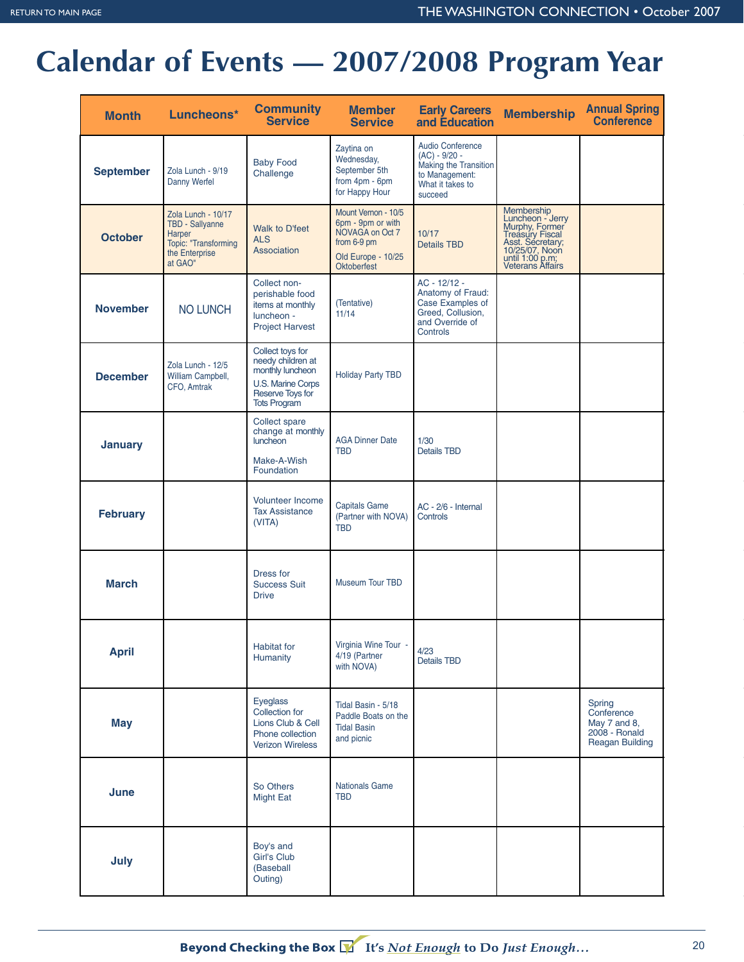## **Calendar of Events — 2007/2008 Program Year**

| <b>Month</b>     | Luncheons*                                                                                                  | <b>Community</b><br><b>Service</b>                                                                                        | <b>Member</b><br><b>Service</b>                                                                                        | <b>Early Careers</b><br>and Education                                                                                | <b>Membership</b>                                                                                                                                | <b>Annual Spring</b><br><b>Conference</b>                                       |
|------------------|-------------------------------------------------------------------------------------------------------------|---------------------------------------------------------------------------------------------------------------------------|------------------------------------------------------------------------------------------------------------------------|----------------------------------------------------------------------------------------------------------------------|--------------------------------------------------------------------------------------------------------------------------------------------------|---------------------------------------------------------------------------------|
| <b>September</b> | Zola Lunch - 9/19<br>Danny Werfel                                                                           | <b>Baby Food</b><br>Challenge                                                                                             | Zaytina on<br>Wednesday,<br>September 5th<br>from 4pm - 6pm<br>for Happy Hour                                          | <b>Audio Conference</b><br>$(AC) - 9/20 -$<br>Making the Transition<br>to Management:<br>What it takes to<br>succeed |                                                                                                                                                  |                                                                                 |
| <b>October</b>   | Zola Lunch - 10/17<br>TBD - Sallyanne<br><b>Harper</b><br>Topic: "Transforming<br>the Enterprise<br>at GAO" | Walk to D'feet<br><b>ALS</b><br>Association                                                                               | Mount Vernon - 10/5<br>6pm - 9pm or with<br>NOVAGA on Oct 7<br>from 6-9 pm<br>Old Europe - 10/25<br><b>Oktoberfest</b> | 10/17<br><b>Details TBD</b>                                                                                          | Membership<br>Luncheon - Jerry<br>Murphy, Former<br>Treasury Fiscal<br>Asst. Secretary;<br>10/25/07, Noon<br>until 1:00 p.m;<br>Veterans Affairs |                                                                                 |
| <b>November</b>  | <b>NO LUNCH</b>                                                                                             | Collect non-<br>perishable food<br>items at monthly<br>luncheon -<br><b>Project Harvest</b>                               | (Tentative)<br>11/14                                                                                                   | AC - 12/12 -<br>Anatomy of Fraud:<br>Case Examples of<br>Greed, Collusion,<br>and Override of<br>Controls            |                                                                                                                                                  |                                                                                 |
| <b>December</b>  | Zola Lunch - 12/5<br>William Campbell,<br>CFO, Amtrak                                                       | Collect toys for<br>needy children at<br>monthly luncheon<br>U.S. Marine Corps<br>Reserve Toys for<br><b>Tots Program</b> | <b>Holiday Party TBD</b>                                                                                               |                                                                                                                      |                                                                                                                                                  |                                                                                 |
| January          |                                                                                                             | Collect spare<br>change at monthly<br>luncheon<br>Make-A-Wish<br>Foundation                                               | <b>AGA Dinner Date</b><br><b>TBD</b>                                                                                   | 1/30<br><b>Details TBD</b>                                                                                           |                                                                                                                                                  |                                                                                 |
| <b>February</b>  |                                                                                                             | <b>Volunteer Income</b><br><b>Tax Assistance</b><br>(VITA)                                                                | <b>Capitals Game</b><br>(Partner with NOVA)<br><b>TBD</b>                                                              | AC - 2/6 - Internal<br>Controls                                                                                      |                                                                                                                                                  |                                                                                 |
| <b>March</b>     |                                                                                                             | Dress for<br><b>Success Suit</b><br><b>Drive</b>                                                                          | Museum Tour TBD                                                                                                        |                                                                                                                      |                                                                                                                                                  |                                                                                 |
| <b>April</b>     |                                                                                                             | <b>Habitat</b> for<br>Humanity                                                                                            | Virginia Wine Tour -<br>4/19 (Partner<br>with NOVA)                                                                    | 4/23<br><b>Details TBD</b>                                                                                           |                                                                                                                                                  |                                                                                 |
| <b>May</b>       |                                                                                                             | Eyeglass<br>Collection for<br>Lions Club & Cell<br>Phone collection<br><b>Verizon Wireless</b>                            | Tidal Basin - 5/18<br>Paddle Boats on the<br><b>Tidal Basin</b><br>and picnic                                          |                                                                                                                      |                                                                                                                                                  | Spring<br>Conference<br>May 7 and 8,<br>2008 - Ronald<br><b>Reagan Building</b> |
| June             |                                                                                                             | So Others<br><b>Might Eat</b>                                                                                             | <b>Nationals Game</b><br><b>TBD</b>                                                                                    |                                                                                                                      |                                                                                                                                                  |                                                                                 |
| July             |                                                                                                             | Boy's and<br>Girl's Club<br>(Baseball<br>Outing)                                                                          |                                                                                                                        |                                                                                                                      |                                                                                                                                                  |                                                                                 |